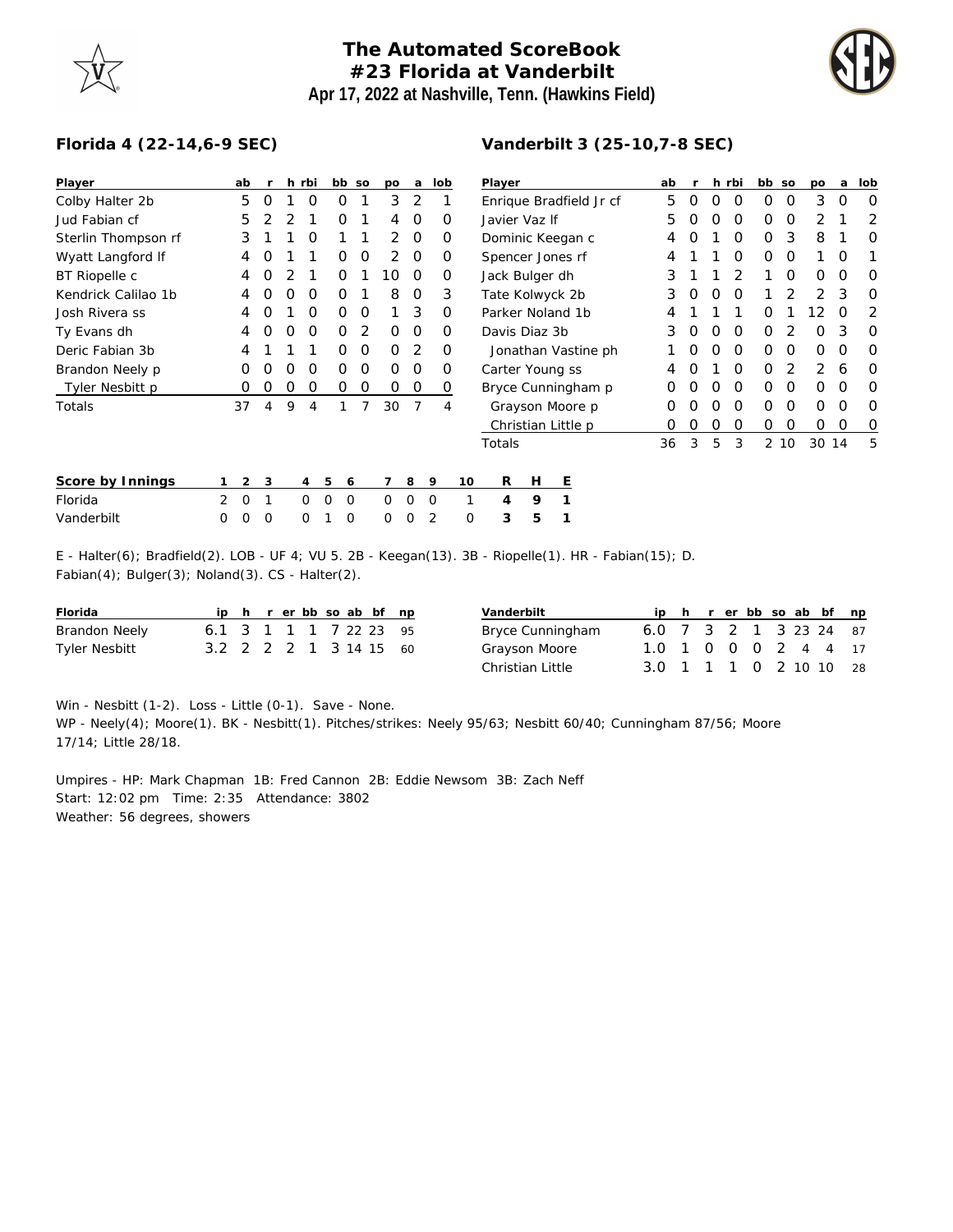## **The Automated ScoreBook #23 Florida at Vanderbilt Apr 17, 2022 at Nashville, Tenn. (Hawkins Field)**



## **Florida 4 (22-14,6-9 SEC)**

| Player              |                                                                                                       | ab             | -r       |   | h rbi          |             | bb so          | po             | a        |             | lob | Player                  |                    |   |   |   |   | ab | r |   | h rbi    | bb so |      | po    | a | lob |
|---------------------|-------------------------------------------------------------------------------------------------------|----------------|----------|---|----------------|-------------|----------------|----------------|----------|-------------|-----|-------------------------|--------------------|---|---|---|---|----|---|---|----------|-------|------|-------|---|-----|
| Colby Halter 2b     |                                                                                                       | 5              | 0        |   | 0              | 0           |                | 3              | 2        |             |     | Enrique Bradfield Jr cf |                    |   |   |   |   | 5  | 0 | 0 | 0        | 0     | 0    | 3     | 0 | 0   |
| Jud Fabian cf       |                                                                                                       | 5              | 2        |   |                | Ο           |                | 4              | 0        |             | 0   | Javier Vaz If           |                    |   |   |   |   | 5  | Ο | Ο | 0        | O     | 0    | 2     |   | 2   |
| Sterlin Thompson rf |                                                                                                       | 3              |          |   | O              |             |                | $\overline{2}$ | 0        |             | 0   | Dominic Keegan c        |                    |   |   |   |   | 4  | Ο |   | O        | 0     | 3    | 8     |   | 0   |
| Wyatt Langford If   |                                                                                                       | 4              | 0        |   |                | 0           | O              | 2              | 0        |             | 0   | Spencer Jones rf        |                    |   |   |   |   |    |   |   | 0        | 0     | 0    |       | O |     |
| BT Riopelle c       |                                                                                                       | 4              | 0        |   |                | 0           |                | 10             | 0        |             | 0   | Jack Bulger dh          |                    |   |   |   |   | 3  |   |   | 2        |       | 0    | 0     | 0 | 0   |
| Kendrick Calilao 1b |                                                                                                       | 4              | O        | O | O              | 0           |                | 8              | 0        |             | 3   | Tate Kolwyck 2b         |                    |   |   |   |   | 3  | O | O | O        |       |      | 2     | 3 | 0   |
| Josh Rivera ss      |                                                                                                       |                | Ο        |   | O              | 0           | 0              |                | 3        |             | 0   | Parker Noland 1b        |                    |   |   |   |   | 4  |   |   |          | O     |      | 12    | O | 2   |
| Ty Evans dh         |                                                                                                       | 4              | Ο        | 0 | O              | 0           | 2              | 0              | 0        |             | 0   | Davis Diaz 3b           |                    |   |   |   |   | 3  | Ο | Ο | O        | O     | 2    | Ο     | 3 | 0   |
| Deric Fabian 3b     |                                                                                                       | 4              |          |   |                | 0           | 0              | 0              | 2        |             | 0   | Jonathan Vastine ph     |                    |   |   |   |   | Ο  | 0 | 0 | $\Omega$ | 0     | 0    | 0     | 0 |     |
| Brandon Neely p     |                                                                                                       | Ο              | O        | 0 | 0              | 0           | 0              | $\Omega$       | 0        |             | 0   | Carter Young ss         |                    |   |   |   | 4 | O  |   | 0 | 0        | 2     | 2    | 6     | 0 |     |
| Tyler Nesbitt p     |                                                                                                       | O              | 0        | O | 0              | 0           | 0              | 0              | 0        |             | 0   | Bryce Cunningham p      |                    |   |   |   |   | 0  | Ο | 0 | 0        | 0     | 0    | O     | O | 0   |
| Totals              |                                                                                                       | 37             | 4        | 9 | 4              | 1           |                | 30             | 7        |             | 4   |                         | Grayson Moore p    |   |   |   |   | O  | Ο | 0 | O        | 0     | 0    | 0     | O | 0   |
|                     |                                                                                                       |                |          |   |                |             |                |                |          |             |     |                         | Christian Little p |   |   |   |   | 0  | 0 | 0 | O        | 0     | O    | O     | O | 0   |
|                     |                                                                                                       |                |          |   |                |             |                |                |          |             |     |                         | Totals             |   |   |   |   | 36 | 3 | 5 | 3        |       | 2 10 | 30 14 |   | 5   |
| Score by Innings    |                                                                                                       | $\overline{2}$ | 3        |   | $\overline{4}$ | 5           | 6              |                | 8        | 9           |     | 10                      | R                  | Н |   | E |   |    |   |   |          |       |      |       |   |     |
| Florida             | 2                                                                                                     | $\circ$        |          |   | $\Omega$       | $\mathbf 0$ | $\overline{0}$ | $\Omega$       | $\Omega$ | $\mathbf 0$ |     | 1                       | 4                  | 9 |   | 1 |   |    |   |   |          |       |      |       |   |     |
| Vanderbilt          | $\Omega$                                                                                              | 0              | $\Omega$ |   | 0              |             | 0              | $\Omega$       | $\Omega$ | 2           |     | $\Omega$                | 3                  |   | 5 | 1 |   |    |   |   |          |       |      |       |   |     |
|                     | E - Halter(6); Bradfield(2). LOB - UF 4; VU 5. 2B - Keegan(13). 3B - Riopelle(1). HR - Fabian(15); D. |                |          |   |                |             |                |                |          |             |     |                         |                    |   |   |   |   |    |   |   |          |       |      |       |   |     |

Fabian(4); Bulger(3); Noland(3). CS - Halter(2).

| Florida       |                        |  |  |  | ip h r er bb so ab bf np |
|---------------|------------------------|--|--|--|--------------------------|
| Brandon Neely | 6.1 3 1 1 1 7 22 23 95 |  |  |  |                          |
| Tyler Nesbitt | 3.2 2 2 2 1 3 14 15 60 |  |  |  |                          |

| Vanderbilt       |                        |  |  |  | ip h r er bb so ab bf np |
|------------------|------------------------|--|--|--|--------------------------|
| Bryce Cunningham | 6.0 7 3 2 1 3 23 24 87 |  |  |  |                          |
| Grayson Moore    | 1.0 1 0 0 0 2 4 4 17   |  |  |  |                          |
| Christian Little | 3.0 1 1 1 0 2 10 10 28 |  |  |  |                          |

Win - Nesbitt (1-2). Loss - Little (0-1). Save - None.

WP - Neely(4); Moore(1). BK - Nesbitt(1). Pitches/strikes: Neely 95/63; Nesbitt 60/40; Cunningham 87/56; Moore 17/14; Little 28/18.

Umpires - HP: Mark Chapman 1B: Fred Cannon 2B: Eddie Newsom 3B: Zach Neff Start: 12:02 pm Time: 2:35 Attendance: 3802 Weather: 56 degrees, showers

## **Vanderbilt 3 (25-10,7-8 SEC)**